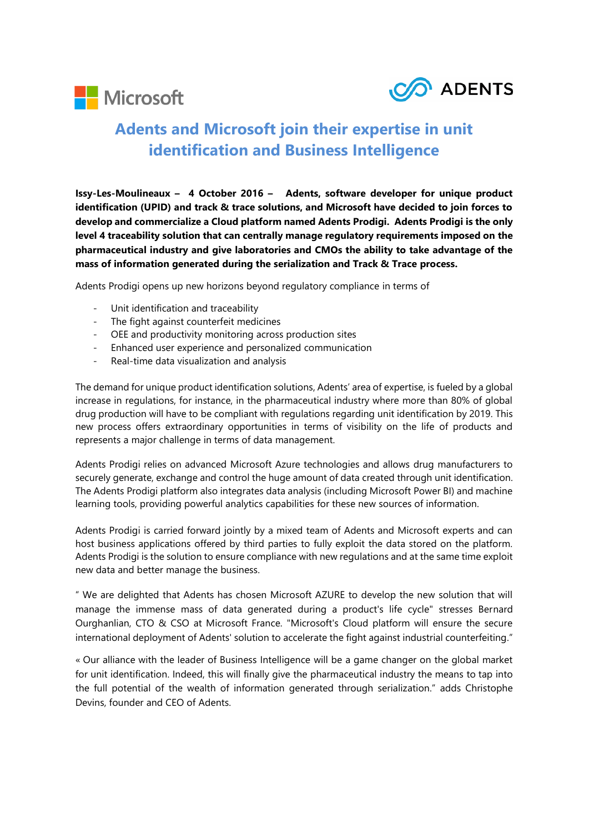



## **Adents and Microsoft join their expertise in unit identification and Business Intelligence**

**Issy-Les-Moulineaux – 4 October 2016 – Adents, software developer for unique product identification (UPID) and track & trace solutions, and Microsoft have decided to join forces to develop and commercialize a Cloud platform named Adents Prodigi. Adents Prodigi is the only level 4 traceability solution that can centrally manage regulatory requirements imposed on the pharmaceutical industry and give laboratories and CMOs the ability to take advantage of the mass of information generated during the serialization and Track & Trace process.**

Adents Prodigi opens up new horizons beyond regulatory compliance in terms of

- Unit identification and traceability
- The fight against counterfeit medicines
- OEE and productivity monitoring across production sites
- Enhanced user experience and personalized communication
- Real-time data visualization and analysis

The demand for unique product identification solutions, Adents' area of expertise, is fueled by a global increase in regulations, for instance, in the pharmaceutical industry where more than 80% of global drug production will have to be compliant with regulations regarding unit identification by 2019. This new process offers extraordinary opportunities in terms of visibility on the life of products and represents a major challenge in terms of data management.

Adents Prodigi relies on advanced Microsoft Azure technologies and allows drug manufacturers to securely generate, exchange and control the huge amount of data created through unit identification. The Adents Prodigi platform also integrates data analysis (including Microsoft Power BI) and machine learning tools, providing powerful analytics capabilities for these new sources of information.

Adents Prodigi is carried forward jointly by a mixed team of Adents and Microsoft experts and can host business applications offered by third parties to fully exploit the data stored on the platform. Adents Prodigi is the solution to ensure compliance with new regulations and at the same time exploit new data and better manage the business.

" We are delighted that Adents has chosen Microsoft AZURE to develop the new solution that will manage the immense mass of data generated during a product's life cycle" stresses Bernard Ourghanlian, CTO & CSO at Microsoft France. "Microsoft's Cloud platform will ensure the secure international deployment of Adents' solution to accelerate the fight against industrial counterfeiting."

« Our alliance with the leader of Business Intelligence will be a game changer on the global market for unit identification. Indeed, this will finally give the pharmaceutical industry the means to tap into the full potential of the wealth of information generated through serialization." adds Christophe Devins, founder and CEO of Adents.